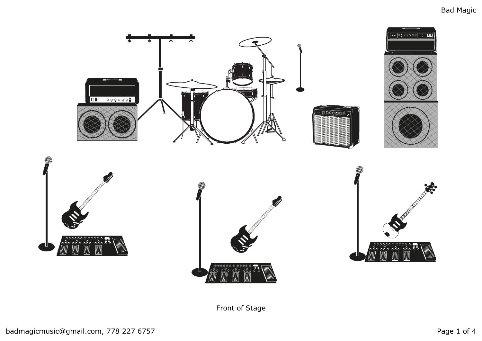

Front of Stage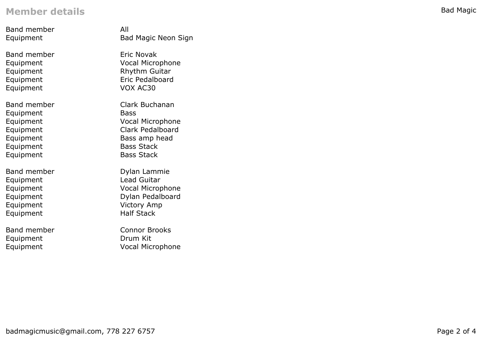## **Member details**

| <b>Band member</b> | All                        |
|--------------------|----------------------------|
| Equipment          | <b>Bad Magic Neon Sign</b> |
| <b>Band member</b> | Eric Novak                 |
| Equipment          | <b>Vocal Microphone</b>    |
| Equipment          | <b>Rhythm Guitar</b>       |
| Equipment          | <b>Eric Pedalboard</b>     |
| Equipment          | VOX AC30                   |
| <b>Band member</b> | Clark Buchanan             |
| Equipment          | <b>Bass</b>                |
| Equipment          | <b>Vocal Microphone</b>    |
| Equipment          | Clark Pedalboard           |
| Equipment          | Bass amp head              |
| Equipment          | <b>Bass Stack</b>          |
| Equipment          | <b>Bass Stack</b>          |
| <b>Band member</b> | Dylan Lammie               |
| Equipment          | Lead Guitar                |
| Equipment          | <b>Vocal Microphone</b>    |
| Equipment          | Dylan Pedalboard           |
| Equipment          | <b>Victory Amp</b>         |
| Equipment          | <b>Half Stack</b>          |
| <b>Band member</b> | <b>Connor Brooks</b>       |
| Equipment          | Drum Kit                   |
| Equipment          | <b>Vocal Microphone</b>    |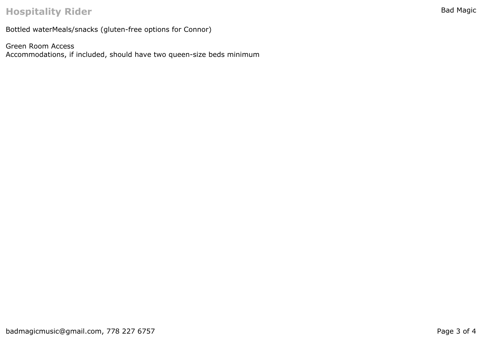## **Hospitality Rider**

Bottled waterMeals/snacks (gluten-free options for Connor)

Green Room Access Accommodations, if included, should have two queen-size beds minimum